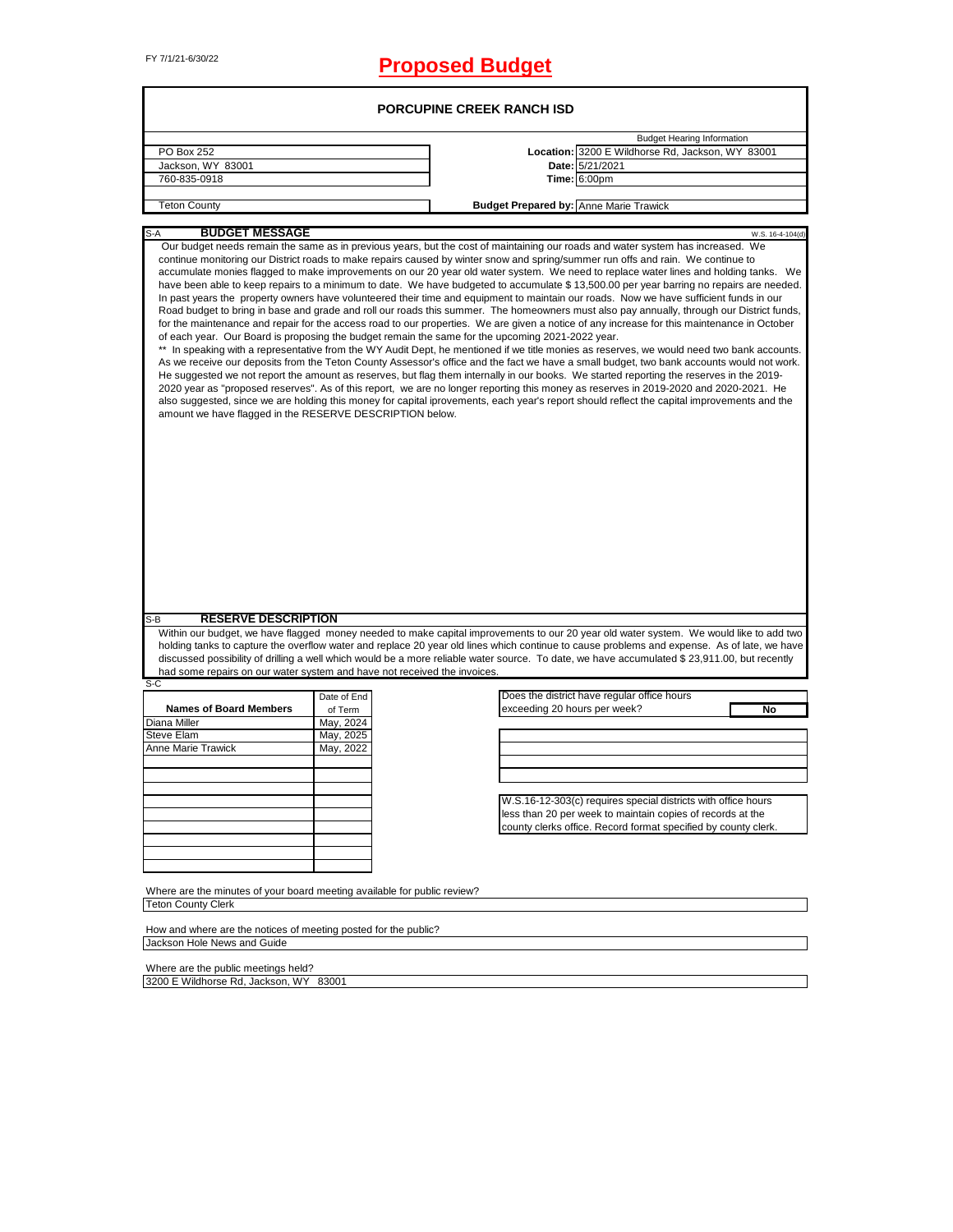# FY 7/1/21-6/30/22 **Proposed Budget**

| PO Box 252                                                                                            |                        |                                                                                                                                                                                                                                                                                                                                                                                                                                                                                                                                                                                                                                                                                                                                                                                                                                                                                                                                                                                                                                                                                                                                                                                                                                                                                                                                                                                                                                                                                                                                                       |
|-------------------------------------------------------------------------------------------------------|------------------------|-------------------------------------------------------------------------------------------------------------------------------------------------------------------------------------------------------------------------------------------------------------------------------------------------------------------------------------------------------------------------------------------------------------------------------------------------------------------------------------------------------------------------------------------------------------------------------------------------------------------------------------------------------------------------------------------------------------------------------------------------------------------------------------------------------------------------------------------------------------------------------------------------------------------------------------------------------------------------------------------------------------------------------------------------------------------------------------------------------------------------------------------------------------------------------------------------------------------------------------------------------------------------------------------------------------------------------------------------------------------------------------------------------------------------------------------------------------------------------------------------------------------------------------------------------|
|                                                                                                       |                        | <b>Budget Hearing Information</b>                                                                                                                                                                                                                                                                                                                                                                                                                                                                                                                                                                                                                                                                                                                                                                                                                                                                                                                                                                                                                                                                                                                                                                                                                                                                                                                                                                                                                                                                                                                     |
|                                                                                                       |                        | Location: 3200 E Wildhorse Rd, Jackson, WY 83001                                                                                                                                                                                                                                                                                                                                                                                                                                                                                                                                                                                                                                                                                                                                                                                                                                                                                                                                                                                                                                                                                                                                                                                                                                                                                                                                                                                                                                                                                                      |
| Jackson, WY 83001                                                                                     |                        | Date: 5/21/2021                                                                                                                                                                                                                                                                                                                                                                                                                                                                                                                                                                                                                                                                                                                                                                                                                                                                                                                                                                                                                                                                                                                                                                                                                                                                                                                                                                                                                                                                                                                                       |
| 760-835-0918                                                                                          |                        | <b>Time: 6:00pm</b>                                                                                                                                                                                                                                                                                                                                                                                                                                                                                                                                                                                                                                                                                                                                                                                                                                                                                                                                                                                                                                                                                                                                                                                                                                                                                                                                                                                                                                                                                                                                   |
| <b>Teton County</b>                                                                                   |                        | <b>Budget Prepared by: Anne Marie Trawick</b>                                                                                                                                                                                                                                                                                                                                                                                                                                                                                                                                                                                                                                                                                                                                                                                                                                                                                                                                                                                                                                                                                                                                                                                                                                                                                                                                                                                                                                                                                                         |
|                                                                                                       |                        |                                                                                                                                                                                                                                                                                                                                                                                                                                                                                                                                                                                                                                                                                                                                                                                                                                                                                                                                                                                                                                                                                                                                                                                                                                                                                                                                                                                                                                                                                                                                                       |
| <b>BUDGET MESSAGE</b><br>S-A                                                                          |                        | W.S. 16-4-104(d<br>Our budget needs remain the same as in previous years, but the cost of maintaining our roads and water system has increased. We                                                                                                                                                                                                                                                                                                                                                                                                                                                                                                                                                                                                                                                                                                                                                                                                                                                                                                                                                                                                                                                                                                                                                                                                                                                                                                                                                                                                    |
| amount we have flagged in the RESERVE DESCRIPTION below.                                              |                        | accumulate monies flagged to make improvements on our 20 year old water system. We need to replace water lines and holding tanks. We<br>have been able to keep repairs to a minimum to date. We have budgeted to accumulate \$13,500.00 per year barring no repairs are needed.<br>In past years the property owners have volunteered their time and equipment to maintain our roads. Now we have sufficient funds in our<br>Road budget to bring in base and grade and roll our roads this summer. The homeowners must also pay annually, through our District funds,<br>for the maintenance and repair for the access road to our properties. We are given a notice of any increase for this maintenance in October<br>of each year. Our Board is proposing the budget remain the same for the upcoming 2021-2022 year.<br>In speaking with a representative from the WY Audit Dept, he mentioned if we title monies as reserves, we would need two bank accounts.<br>As we receive our deposits from the Teton County Assessor's office and the fact we have a small budget, two bank accounts would not work.<br>He suggested we not report the amount as reserves, but flag them internally in our books. We started reporting the reserves in the 2019-<br>2020 year as "proposed reserves". As of this report, we are no longer reporting this money as reserves in 2019-2020 and 2020-2021. He<br>also suggested, since we are holding this money for capital iprovements, each year's report should reflect the capital improvements and the |
|                                                                                                       |                        |                                                                                                                                                                                                                                                                                                                                                                                                                                                                                                                                                                                                                                                                                                                                                                                                                                                                                                                                                                                                                                                                                                                                                                                                                                                                                                                                                                                                                                                                                                                                                       |
|                                                                                                       |                        |                                                                                                                                                                                                                                                                                                                                                                                                                                                                                                                                                                                                                                                                                                                                                                                                                                                                                                                                                                                                                                                                                                                                                                                                                                                                                                                                                                                                                                                                                                                                                       |
| <b>RESERVE DESCRIPTION</b>                                                                            |                        |                                                                                                                                                                                                                                                                                                                                                                                                                                                                                                                                                                                                                                                                                                                                                                                                                                                                                                                                                                                                                                                                                                                                                                                                                                                                                                                                                                                                                                                                                                                                                       |
| S-B<br>had some repairs on our water system and have not received the invoices.<br>S-C                |                        | Within our budget, we have flagged money needed to make capital improvements to our 20 year old water system. We would like to add two<br>holding tanks to capture the overflow water and replace 20 year old lines which continue to cause problems and expense. As of late, we have<br>discussed possibility of drilling a well which would be a more reliable water source. To date, we have accumulated \$ 23,911.00, but recently                                                                                                                                                                                                                                                                                                                                                                                                                                                                                                                                                                                                                                                                                                                                                                                                                                                                                                                                                                                                                                                                                                                |
|                                                                                                       | Date of End            | Does the district have regular office hours                                                                                                                                                                                                                                                                                                                                                                                                                                                                                                                                                                                                                                                                                                                                                                                                                                                                                                                                                                                                                                                                                                                                                                                                                                                                                                                                                                                                                                                                                                           |
| <b>Names of Board Members</b>                                                                         | of Term                | exceeding 20 hours per week?<br>No                                                                                                                                                                                                                                                                                                                                                                                                                                                                                                                                                                                                                                                                                                                                                                                                                                                                                                                                                                                                                                                                                                                                                                                                                                                                                                                                                                                                                                                                                                                    |
|                                                                                                       | May, 2024              |                                                                                                                                                                                                                                                                                                                                                                                                                                                                                                                                                                                                                                                                                                                                                                                                                                                                                                                                                                                                                                                                                                                                                                                                                                                                                                                                                                                                                                                                                                                                                       |
|                                                                                                       | May, 2025<br>May, 2022 |                                                                                                                                                                                                                                                                                                                                                                                                                                                                                                                                                                                                                                                                                                                                                                                                                                                                                                                                                                                                                                                                                                                                                                                                                                                                                                                                                                                                                                                                                                                                                       |
|                                                                                                       |                        |                                                                                                                                                                                                                                                                                                                                                                                                                                                                                                                                                                                                                                                                                                                                                                                                                                                                                                                                                                                                                                                                                                                                                                                                                                                                                                                                                                                                                                                                                                                                                       |
|                                                                                                       |                        |                                                                                                                                                                                                                                                                                                                                                                                                                                                                                                                                                                                                                                                                                                                                                                                                                                                                                                                                                                                                                                                                                                                                                                                                                                                                                                                                                                                                                                                                                                                                                       |
|                                                                                                       |                        |                                                                                                                                                                                                                                                                                                                                                                                                                                                                                                                                                                                                                                                                                                                                                                                                                                                                                                                                                                                                                                                                                                                                                                                                                                                                                                                                                                                                                                                                                                                                                       |
|                                                                                                       |                        | W.S.16-12-303(c) requires special districts with office hours                                                                                                                                                                                                                                                                                                                                                                                                                                                                                                                                                                                                                                                                                                                                                                                                                                                                                                                                                                                                                                                                                                                                                                                                                                                                                                                                                                                                                                                                                         |
|                                                                                                       |                        | less than 20 per week to maintain copies of records at the                                                                                                                                                                                                                                                                                                                                                                                                                                                                                                                                                                                                                                                                                                                                                                                                                                                                                                                                                                                                                                                                                                                                                                                                                                                                                                                                                                                                                                                                                            |
|                                                                                                       |                        | county clerks office. Record format specified by county clerk.                                                                                                                                                                                                                                                                                                                                                                                                                                                                                                                                                                                                                                                                                                                                                                                                                                                                                                                                                                                                                                                                                                                                                                                                                                                                                                                                                                                                                                                                                        |
| Diana Miller<br><b>Steve Elam</b><br>Anne Marie Trawick                                               |                        |                                                                                                                                                                                                                                                                                                                                                                                                                                                                                                                                                                                                                                                                                                                                                                                                                                                                                                                                                                                                                                                                                                                                                                                                                                                                                                                                                                                                                                                                                                                                                       |
|                                                                                                       |                        |                                                                                                                                                                                                                                                                                                                                                                                                                                                                                                                                                                                                                                                                                                                                                                                                                                                                                                                                                                                                                                                                                                                                                                                                                                                                                                                                                                                                                                                                                                                                                       |
| Where are the minutes of your board meeting available for public review?<br><b>Teton County Clerk</b> |                        |                                                                                                                                                                                                                                                                                                                                                                                                                                                                                                                                                                                                                                                                                                                                                                                                                                                                                                                                                                                                                                                                                                                                                                                                                                                                                                                                                                                                                                                                                                                                                       |

Where are the public meetings held? 3200 E Wildhorse Rd, Jackson, WY 83001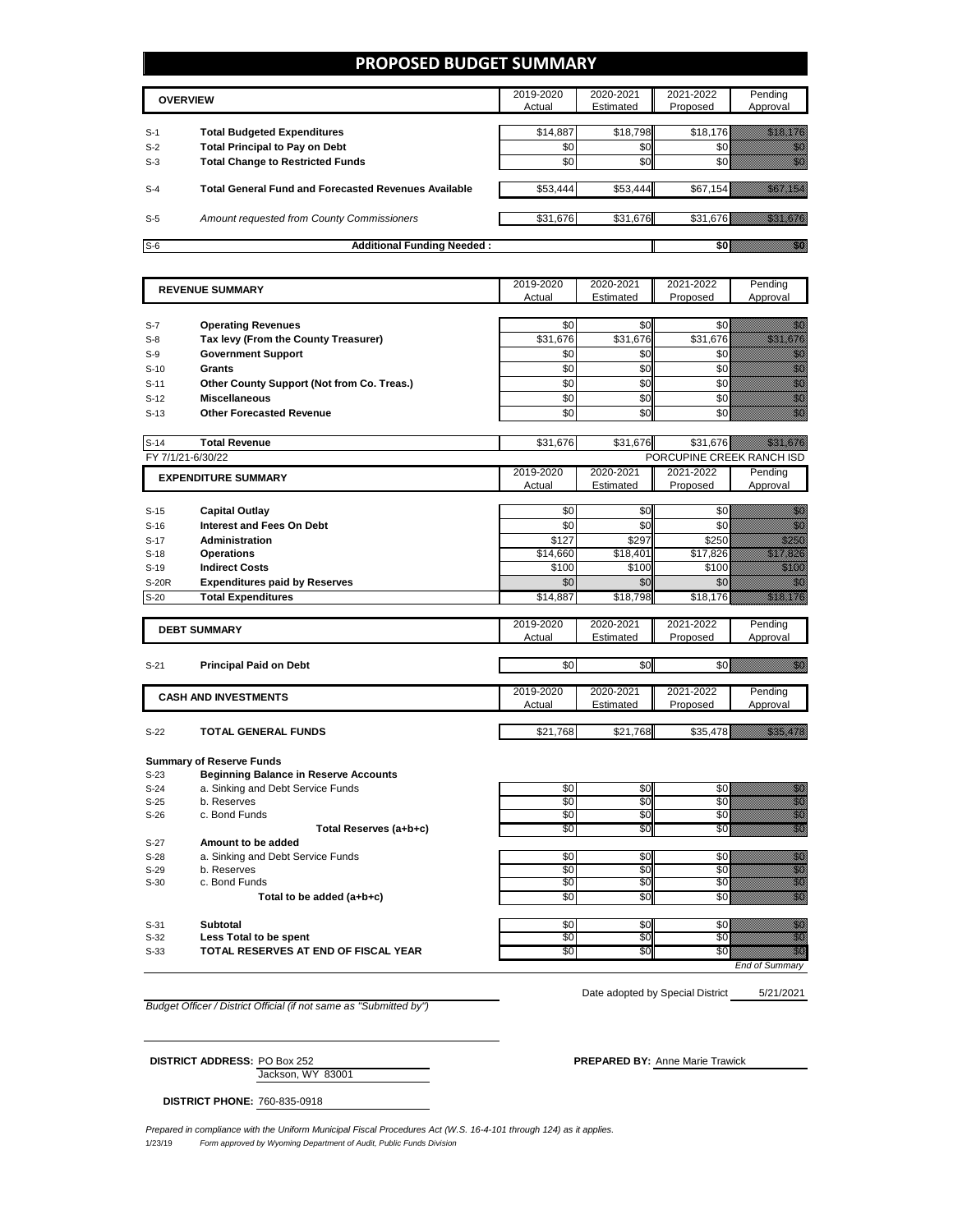#### **PROPOSED BUDGET SUMMARY**

|       | <b>OVERVIEW</b>                                             | 2019-2020<br>Actual | 2020-2021<br>Estimated | 2021-2022<br>Proposed | Pending<br>Approval |
|-------|-------------------------------------------------------------|---------------------|------------------------|-----------------------|---------------------|
|       |                                                             |                     |                        |                       |                     |
| $S-1$ | <b>Total Budgeted Expenditures</b>                          | \$14.887            | \$18,798               | \$18.176              |                     |
| $S-2$ | <b>Total Principal to Pay on Debt</b>                       | \$0                 | \$0                    |                       |                     |
| $S-3$ | <b>Total Change to Restricted Funds</b>                     | \$0                 | \$0                    |                       |                     |
|       |                                                             |                     |                        |                       |                     |
| $S-4$ | <b>Total General Fund and Forecasted Revenues Available</b> | \$53,444            | \$53,444               | \$67,154              |                     |
|       |                                                             |                     |                        |                       |                     |
| $S-5$ | Amount requested from County Commissioners                  | \$31,676            | \$31,676               | \$31,676              |                     |
|       |                                                             |                     |                        |                       |                     |
| $S-6$ | <b>Additional Funding Needed:</b>                           |                     |                        |                       |                     |

|              |                                              | 2019-2020     | 2020-2021 | 2021-2022                 | Pending                                                                                                                                                                                                                          |
|--------------|----------------------------------------------|---------------|-----------|---------------------------|----------------------------------------------------------------------------------------------------------------------------------------------------------------------------------------------------------------------------------|
|              | <b>REVENUE SUMMARY</b>                       | Actual        | Estimated | Proposed                  | Approval                                                                                                                                                                                                                         |
|              |                                              |               |           |                           |                                                                                                                                                                                                                                  |
| $S-7$        | <b>Operating Revenues</b>                    | \$0           | \$0       | \$0                       | e di Tanzania.<br>Tanàna amin'ny faritr'i Normandie, ao amin'ny faritr'i Normandie.<br>Tanàna amin'ny faritr'i Normandie.                                                                                                        |
|              |                                              |               |           |                           | a a a an t-òrdan an t-òrdan an t-òrdan an t-òrdan an t-òrdan an Dùbhaidh.<br>Tacairtean                                                                                                                                          |
| $S-8$        | Tax levy (From the County Treasurer)         | \$31,676      | \$31,676  | \$31,676                  |                                                                                                                                                                                                                                  |
| $S-9$        | <b>Government Support</b>                    | \$0           | \$0       | \$0                       | en de la familie de la familie de la familie de la familie de la familie de la familie de la familie de la fam<br>Estat de la familie de la familie de la familie de la familie de la familie de la familie de la familie de la  |
| $S-10$       | <b>Grants</b>                                | \$0           | \$0       | \$0                       |                                                                                                                                                                                                                                  |
| $S-11$       | Other County Support (Not from Co. Treas.)   | \$0           | \$0       | \$0                       | e de la composición de la composición de la composición de la composición de la composición de la composición<br>Campo de la composición de la composición de la composición de la composición de la composición de la composic  |
| $S-12$       | <b>Miscellaneous</b>                         | \$0           | \$0       | \$0                       |                                                                                                                                                                                                                                  |
| $S-13$       | <b>Other Forecasted Revenue</b>              | \$0           | \$0       | \$0                       | en de la familie de la familie de la familie de la familie de la familie de la familie de la familie de la fa<br>Construction de la familie de la familie de la familie de la familie de la familie de la familie de la familie  |
|              |                                              |               |           |                           |                                                                                                                                                                                                                                  |
| $S-14$       | <b>Total Revenue</b>                         | \$31,676      | \$31,676  | \$31,676                  |                                                                                                                                                                                                                                  |
|              | FY 7/1/21-6/30/22                            |               |           | PORCUPINE CREEK RANCH ISD |                                                                                                                                                                                                                                  |
|              |                                              | 2019-2020     | 2020-2021 | 2021-2022                 | Pending                                                                                                                                                                                                                          |
|              | <b>EXPENDITURE SUMMARY</b>                   | Actual        | Estimated | Proposed                  | Approval                                                                                                                                                                                                                         |
|              |                                              |               |           |                           |                                                                                                                                                                                                                                  |
| $S-15$       | <b>Capital Outlay</b>                        | \$0           | \$0       | \$0                       | en de la familie de la familie de la familie de la familie de la familie de la familie de la familie de la fa<br>Constitution de la familie de la familie de la familie de la familie de la familie de la familie de la familie  |
| $S-16$       | <b>Interest and Fees On Debt</b>             | \$0           | \$0       | \$0                       | en de la filosofia<br>Monte de la filosofia                                                                                                                                                                                      |
| $S-17$       | <b>Administration</b>                        | \$127         | \$297     | \$250                     | <u>Mille S</u>                                                                                                                                                                                                                   |
| $S-18$       | <b>Operations</b>                            | \$14,660      | \$18,401  | \$17,826                  | <u>Tillisti k</u>                                                                                                                                                                                                                |
| $S-19$       | <b>Indirect Costs</b>                        | \$100         | \$100     | \$100                     | <u>Mariti </u>                                                                                                                                                                                                                   |
| <b>S-20R</b> | <b>Expenditures paid by Reserves</b>         | \$0           | \$0       | \$0                       | en de la familie de la familie de la familie de la familie de la familie de la familie de la familie de la fam<br>Constitution de la familie de la familie de la familie de la familie de la familie de la familie de la familie |
| $S-20$       | <b>Total Expenditures</b>                    | \$14,887      | \$18,798  | \$18,176                  | <u>Marajevi po pre</u>                                                                                                                                                                                                           |
|              |                                              |               |           |                           |                                                                                                                                                                                                                                  |
|              |                                              | 2019-2020     | 2020-2021 | 2021-2022                 | Pending                                                                                                                                                                                                                          |
|              | <b>DEBT SUMMARY</b>                          | Actual        | Estimated | Proposed                  | Approval                                                                                                                                                                                                                         |
|              |                                              |               |           |                           |                                                                                                                                                                                                                                  |
| $S-21$       | <b>Principal Paid on Debt</b>                | \$0           | \$0       | \$0                       | <u> Kili</u>                                                                                                                                                                                                                     |
|              |                                              |               |           |                           |                                                                                                                                                                                                                                  |
|              | <b>CASH AND INVESTMENTS</b>                  | 2019-2020     | 2020-2021 | 2021-2022                 | Pending                                                                                                                                                                                                                          |
|              |                                              | <b>Actual</b> | Estimated | Proposed                  | Approval                                                                                                                                                                                                                         |
|              |                                              |               |           |                           |                                                                                                                                                                                                                                  |
| $S-22$       | <b>TOTAL GENERAL FUNDS</b>                   | \$21,768      | \$21,768  | \$35,478                  | <u>Maritim p</u>                                                                                                                                                                                                                 |
|              |                                              |               |           |                           |                                                                                                                                                                                                                                  |
|              | <b>Summary of Reserve Funds</b>              |               |           |                           |                                                                                                                                                                                                                                  |
| $S-23$       | <b>Beginning Balance in Reserve Accounts</b> |               |           |                           |                                                                                                                                                                                                                                  |
| $S-24$       | a. Sinking and Debt Service Funds            | \$0           | \$0       | \$0                       |                                                                                                                                                                                                                                  |
| $S-25$       | b. Reserves                                  | \$0           | \$0       | \$0                       | e de la composición de la composición de la composición de la composición de la composición de la composición<br>Composición                                                                                                     |
| $S-26$       | c. Bond Funds                                | \$0           | \$0       | \$0                       |                                                                                                                                                                                                                                  |
|              | Total Reserves (a+b+c)                       | \$0           | \$0       | \$0                       | en de la filosofia<br>Unidadese                                                                                                                                                                                                  |
| $S-27$       | Amount to be added                           |               |           |                           |                                                                                                                                                                                                                                  |
| $S-28$       | a. Sinking and Debt Service Funds            | \$0           | \$0       | \$0                       | anan<br>Mala                                                                                                                                                                                                                     |
| $S-29$       | b. Reserves                                  | \$0           | \$0       | \$0                       | en de la familie de la familie de la familie de la familie de la familie de la familie de la familie de la fam<br>Estat de la familie de la familie de la familie de la familie de la familie de la familie de la familie de la  |
| $S-30$       | c. Bond Funds                                | \$0           | \$0       | \$0                       | anna<br>Michel                                                                                                                                                                                                                   |
|              | Total to be added (a+b+c)                    | \$0           | \$0       | \$0                       | an dhe                                                                                                                                                                                                                           |
|              |                                              |               |           |                           |                                                                                                                                                                                                                                  |
| $S-31$       | Subtotal                                     | \$0           | \$0       | \$0                       | elli S                                                                                                                                                                                                                           |
|              | <b>Less Total to be spent</b>                | \$0           | \$0       | \$0                       | M.                                                                                                                                                                                                                               |

S-33 **TOTAL RESERVES AT END OF FISCAL YEAR** \$0 \$0 \$0 \$0

*End of Summary*

*Budget Officer / District Official (if not same as "Submitted by")*

5/21/2021 Date adopted by Special District

Jackson, WY 83001 **DISTRICT ADDRESS:** PO Box 252 **PREPARED BY:** Anne Marie Trawick

**DISTRICT PHONE:** 760-835-0918

1/23/19 *Form approved by Wyoming Department of Audit, Public Funds Division Prepared in compliance with the Uniform Municipal Fiscal Procedures Act (W.S. 16-4-101 through 124) as it applies.*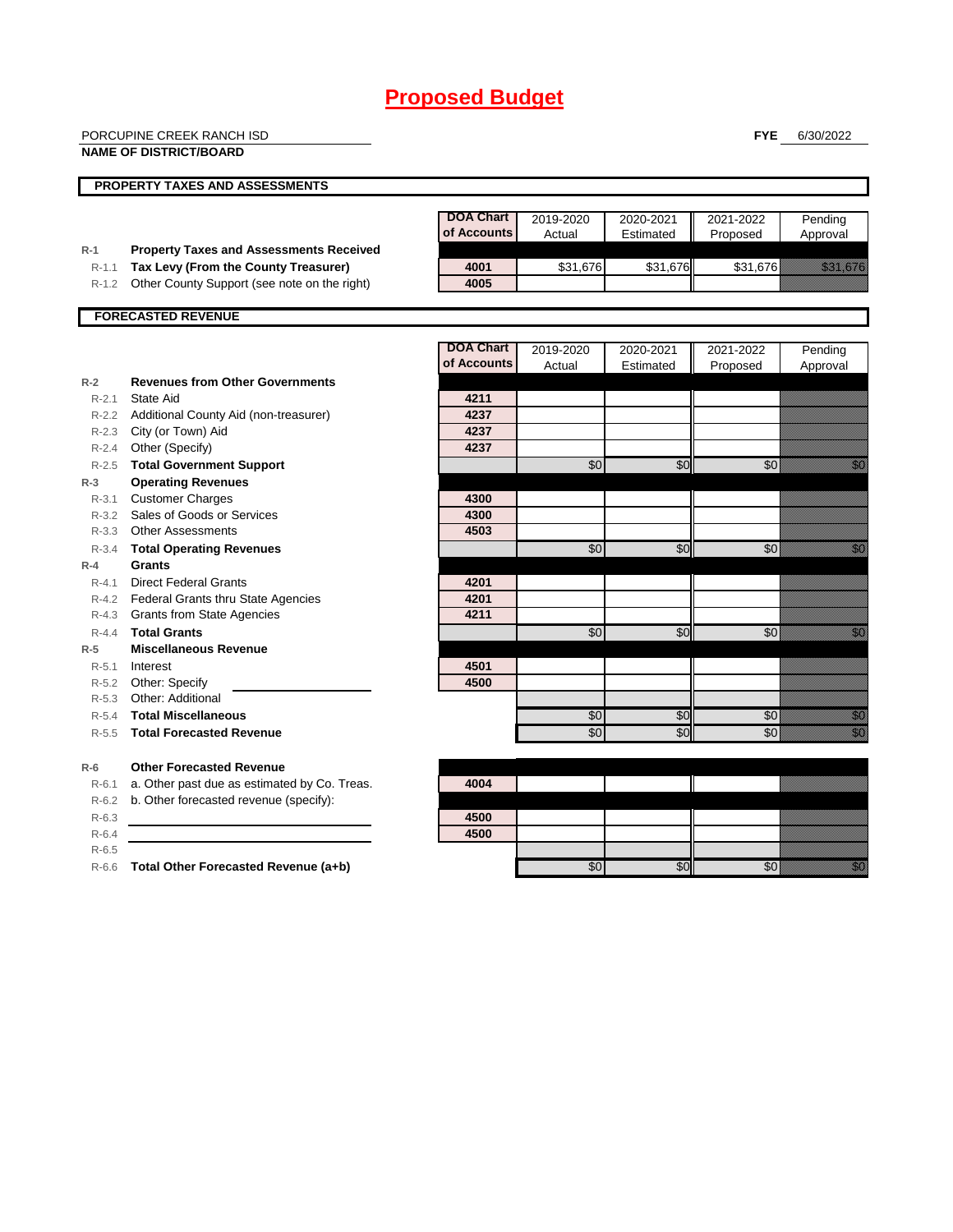|                    | PORCUPINE CREEK RANCH ISD                      |                                 |           |           | <b>FYE</b>      | 6/30/2022                                                                                                                            |
|--------------------|------------------------------------------------|---------------------------------|-----------|-----------|-----------------|--------------------------------------------------------------------------------------------------------------------------------------|
|                    | <b>NAME OF DISTRICT/BOARD</b>                  |                                 |           |           |                 |                                                                                                                                      |
|                    |                                                |                                 |           |           |                 |                                                                                                                                      |
|                    | <b>PROPERTY TAXES AND ASSESSMENTS</b>          |                                 |           |           |                 |                                                                                                                                      |
|                    |                                                |                                 |           |           |                 |                                                                                                                                      |
|                    |                                                | <b>DOA Chart</b><br>of Accounts | 2019-2020 | 2020-2021 | 2021-2022       | Pending                                                                                                                              |
| $R-1$              | <b>Property Taxes and Assessments Received</b> |                                 | Actual    | Estimated | Proposed        | Approval                                                                                                                             |
| $R-1.1$            | Tax Levy (From the County Treasurer)           | 4001                            | \$31,676  | \$31,676  | \$31,676        | <u>ting and the second second and the second second in the second second second in the second second second second</u>               |
| $R-1.2$            | Other County Support (see note on the right)   | 4005                            |           |           |                 |                                                                                                                                      |
|                    |                                                |                                 |           |           |                 |                                                                                                                                      |
|                    | <b>FORECASTED REVENUE</b>                      |                                 |           |           |                 |                                                                                                                                      |
|                    |                                                |                                 |           |           |                 |                                                                                                                                      |
|                    |                                                | <b>DOA Chart</b>                | 2019-2020 | 2020-2021 | 2021-2022       | Pending                                                                                                                              |
|                    |                                                | of Accounts                     | Actual    | Estimated | Proposed        | Approval                                                                                                                             |
| $R-2$              | <b>Revenues from Other Governments</b>         |                                 |           |           |                 |                                                                                                                                      |
| $R-2.1$            | State Aid                                      | 4211                            |           |           |                 |                                                                                                                                      |
|                    | R-2.2 Additional County Aid (non-treasurer)    | 4237                            |           |           |                 |                                                                                                                                      |
|                    | R-2.3 City (or Town) Aid                       | 4237                            |           |           |                 |                                                                                                                                      |
|                    | R-2.4 Other (Specify)                          | 4237                            |           |           |                 |                                                                                                                                      |
|                    | R-2.5 Total Government Support                 |                                 | \$0       | \$0       | $\overline{50}$ | en de la filosofia<br>Maria de la filòla del conte del conte del conte del conte del conte del conte del conte del conte del conte d |
| $R-3$              | <b>Operating Revenues</b>                      |                                 |           |           |                 |                                                                                                                                      |
| $R - 3.1$          | <b>Customer Charges</b>                        | 4300                            |           |           |                 |                                                                                                                                      |
|                    | R-3.2 Sales of Goods or Services               | 4300                            |           |           |                 |                                                                                                                                      |
| $R - 3.3$          | <b>Other Assessments</b>                       | 4503                            |           |           |                 |                                                                                                                                      |
| $R - 3.4$          | <b>Total Operating Revenues</b>                |                                 | \$0       | \$0       | \$0             | enne<br>Maria                                                                                                                        |
| $R-4$              | Grants                                         |                                 |           |           |                 |                                                                                                                                      |
| $R - 4.1$          | <b>Direct Federal Grants</b>                   | 4201                            |           |           |                 |                                                                                                                                      |
|                    | R-4.2 Federal Grants thru State Agencies       | 4201                            |           |           |                 |                                                                                                                                      |
| $R-4.3$            | <b>Grants from State Agencies</b>              | 4211                            |           |           |                 |                                                                                                                                      |
| $R - 4.4$          | <b>Total Grants</b>                            |                                 | \$0       | \$0       | \$0             | en de la familie de la familie de la familie de la familie de la familie de la familie de la familie de la fa<br>Espainia            |
| $R-5$              | <b>Miscellaneous Revenue</b>                   |                                 |           |           |                 |                                                                                                                                      |
| $R - 5.1$          | Interest                                       | 4501                            |           |           |                 |                                                                                                                                      |
|                    | R-5.2 Other: Specify                           | 4500                            |           |           |                 |                                                                                                                                      |
| R-5.3              | Other: Additional                              |                                 |           |           |                 |                                                                                                                                      |
| $R-5.4$            | <b>Total Miscellaneous</b>                     |                                 | \$0       | \$0       | \$0             | en de la filosofia<br>Maria de la filòlogía                                                                                          |
| $R-5.5$            | <b>Total Forecasted Revenue</b>                |                                 | \$0       | \$0       | \$0             | en de la filo<br>Maria de la filòla del conte del conte del conte del conte del conte del conte del conte del conte del conte d      |
|                    | <b>Other Forecasted Revenue</b>                |                                 |           |           |                 |                                                                                                                                      |
| $R-6$              | a. Other past due as estimated by Co. Treas.   | 4004                            |           |           |                 |                                                                                                                                      |
| $R - 6.1$          | b. Other forecasted revenue (specify):         |                                 |           |           |                 |                                                                                                                                      |
| $R-6.2$<br>$R-6.3$ |                                                | 4500                            |           |           |                 |                                                                                                                                      |
| $R-6.4$            |                                                | 4500                            |           |           |                 |                                                                                                                                      |
| $R-6.5$            |                                                |                                 |           |           |                 |                                                                                                                                      |
|                    |                                                |                                 |           |           |                 |                                                                                                                                      |

R-6.6 **Total Other Forecasted Revenue (a+b)** \$0 \$0 \$0 \$0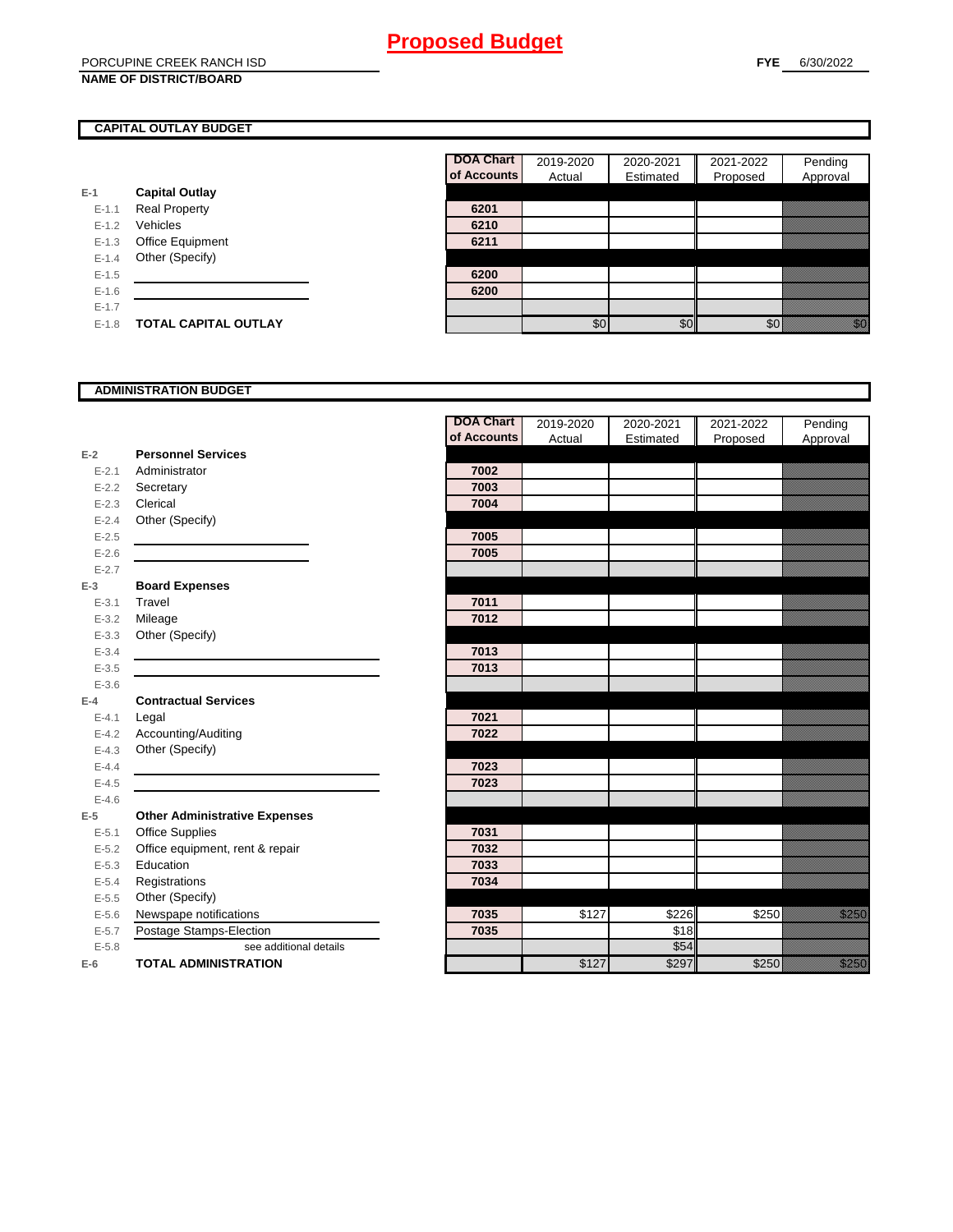#### **CAPITAL OUTLAY BUDGET**

|           |                             | <u>ul nuuu</u> |
|-----------|-----------------------------|----------------|
| $E-1$     | <b>Capital Outlay</b>       |                |
| $E - 1.1$ | <b>Real Property</b>        | 6201           |
| $E - 1.2$ | Vehicles                    | 6210           |
| $E-1.3$   | <b>Office Equipment</b>     | 6211           |
| $E - 1.4$ | Other (Specify)             |                |
| $E - 1.5$ |                             | 6200           |
| $E-1.6$   |                             | 6200           |
| $E - 1.7$ |                             |                |
| $E-1.8$   | <b>TOTAL CAPITAL OUTLAY</b> |                |

| <b>DOA Chart</b> | 2019-2020 | 2020-2021 | 2021-2022 | Pending  |
|------------------|-----------|-----------|-----------|----------|
| of Accounts      | Actual    | Estimated | Proposed  | Approval |
|                  |           |           |           |          |
| 6201             |           |           |           |          |
| 6210             |           |           |           |          |
| 6211             |           |           |           |          |
|                  |           |           |           |          |
| 6200             |           |           |           |          |
| 6200             |           |           |           |          |
|                  |           |           |           |          |
|                  |           |           |           |          |

#### **ADMINISTRATION BUDGET**

|           |                                      | <b>DOA Chart</b> | 2019-2020 | 2020-2021 | 2021-2022 | Pending                                                                                                                                                                                                                         |
|-----------|--------------------------------------|------------------|-----------|-----------|-----------|---------------------------------------------------------------------------------------------------------------------------------------------------------------------------------------------------------------------------------|
|           |                                      | of Accounts      | Actual    | Estimated | Proposed  | Approval                                                                                                                                                                                                                        |
| $E-2$     | <b>Personnel Services</b>            |                  |           |           |           |                                                                                                                                                                                                                                 |
| $E - 2.1$ | Administrator                        | 7002             |           |           |           |                                                                                                                                                                                                                                 |
| $E-2.2$   | Secretary                            | 7003             |           |           |           |                                                                                                                                                                                                                                 |
| $E - 2.3$ | Clerical                             | 7004             |           |           |           |                                                                                                                                                                                                                                 |
| $E - 2.4$ | Other (Specify)                      |                  |           |           |           |                                                                                                                                                                                                                                 |
| $E - 2.5$ |                                      | 7005             |           |           |           |                                                                                                                                                                                                                                 |
| $E-2.6$   |                                      | 7005             |           |           |           |                                                                                                                                                                                                                                 |
| $E-2.7$   |                                      |                  |           |           |           |                                                                                                                                                                                                                                 |
| $E-3$     | <b>Board Expenses</b>                |                  |           |           |           |                                                                                                                                                                                                                                 |
| $E - 3.1$ | Travel                               | 7011             |           |           |           |                                                                                                                                                                                                                                 |
| $E - 3.2$ | Mileage                              | 7012             |           |           |           |                                                                                                                                                                                                                                 |
| $E - 3.3$ | Other (Specify)                      |                  |           |           |           |                                                                                                                                                                                                                                 |
| $E - 3.4$ |                                      | 7013             |           |           |           |                                                                                                                                                                                                                                 |
| $E - 3.5$ |                                      | 7013             |           |           |           |                                                                                                                                                                                                                                 |
| $E - 3.6$ |                                      |                  |           |           |           |                                                                                                                                                                                                                                 |
| $E-4$     | <b>Contractual Services</b>          |                  |           |           |           |                                                                                                                                                                                                                                 |
| $E - 4.1$ | Legal                                | 7021             |           |           |           |                                                                                                                                                                                                                                 |
| $E - 4.2$ | Accounting/Auditing                  | 7022             |           |           |           |                                                                                                                                                                                                                                 |
| $E - 4.3$ | Other (Specify)                      |                  |           |           |           |                                                                                                                                                                                                                                 |
| $E-4.4$   |                                      | 7023             |           |           |           |                                                                                                                                                                                                                                 |
| $E-4.5$   |                                      | 7023             |           |           |           |                                                                                                                                                                                                                                 |
| $E-4.6$   |                                      |                  |           |           |           |                                                                                                                                                                                                                                 |
| $E-5$     | <b>Other Administrative Expenses</b> |                  |           |           |           |                                                                                                                                                                                                                                 |
| $E - 5.1$ | Office Supplies                      | 7031             |           |           |           |                                                                                                                                                                                                                                 |
| $E-5.2$   | Office equipment, rent & repair      | 7032             |           |           |           |                                                                                                                                                                                                                                 |
| $E-5.3$   | Education                            | 7033             |           |           |           |                                                                                                                                                                                                                                 |
| $E - 5.4$ | Registrations                        | 7034             |           |           |           |                                                                                                                                                                                                                                 |
| $E-5.5$   | Other (Specify)                      |                  |           |           |           |                                                                                                                                                                                                                                 |
| $E-5.6$   | Newspape notifications               | 7035             | \$127     | \$226     | \$250     | <u>gang di</u>                                                                                                                                                                                                                  |
| $E - 5.7$ | Postage Stamps-Election              | 7035             |           | \$18      |           |                                                                                                                                                                                                                                 |
| $E - 5.8$ | see additional details               |                  |           | \$54      |           |                                                                                                                                                                                                                                 |
| $E-6$     | <b>TOTAL ADMINISTRATION</b>          |                  | \$127     | \$297     | \$250     | a katika katika katika katika alifuwa alifuwa alifuwa alifuwa alifuwa alifuwa alifuwa alifuwa alifuwa alifuwa<br>Katika alifuwa alifuwa alifuwa alifuwa alifuwa alifuwa alifuwa alifuwa alifuwa alifuwa alifuwa alifuwa alifuwa |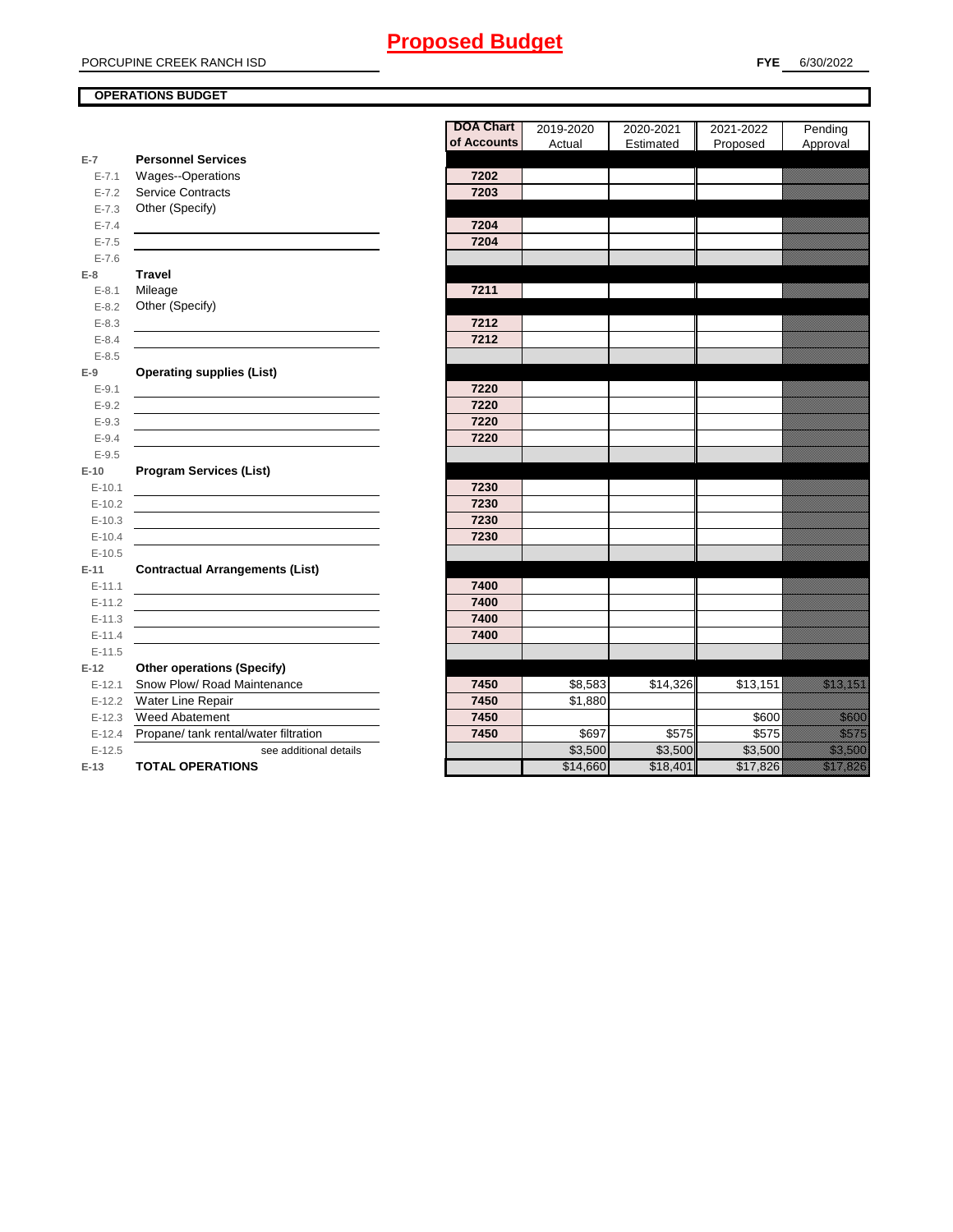PORCUPINE CREEK RANCH ISD

#### **OPERATIONS BUDGET**

**E-7**

E-7.6 **E-8 Travel**

E-8.5 **E-9**

E-9.5 **E-10**

E-10.5 **E-11 Contractual Arrangements (List)** 

E-11.5 **E-12 Other operations (Specify)** 

|           |                                                                                           | <b>DOA Chart</b><br>of Accounts | 2019-2020<br>Actual | 2020-2021<br>Estimated | 2021-2022<br>Proposed | Pending<br>Approval                                                                                                                                                                                                              |
|-----------|-------------------------------------------------------------------------------------------|---------------------------------|---------------------|------------------------|-----------------------|----------------------------------------------------------------------------------------------------------------------------------------------------------------------------------------------------------------------------------|
| $E-7$     | <b>Personnel Services</b>                                                                 |                                 |                     |                        |                       |                                                                                                                                                                                                                                  |
| $E - 7.1$ | Wages--Operations                                                                         | 7202                            |                     |                        |                       |                                                                                                                                                                                                                                  |
| $E - 7.2$ | <b>Service Contracts</b>                                                                  | 7203                            |                     |                        |                       |                                                                                                                                                                                                                                  |
| $E - 7.3$ | Other (Specify)                                                                           |                                 |                     |                        |                       |                                                                                                                                                                                                                                  |
| $E - 7.4$ |                                                                                           | 7204                            |                     |                        |                       |                                                                                                                                                                                                                                  |
| $E - 7.5$ |                                                                                           | 7204                            |                     |                        |                       |                                                                                                                                                                                                                                  |
| $E - 7.6$ |                                                                                           |                                 |                     |                        |                       |                                                                                                                                                                                                                                  |
| E-8       | <b>Travel</b>                                                                             |                                 |                     |                        |                       |                                                                                                                                                                                                                                  |
| $E - 8.1$ | Mileage                                                                                   | 7211                            |                     |                        |                       |                                                                                                                                                                                                                                  |
| $E - 8.2$ | Other (Specify)                                                                           |                                 |                     |                        |                       |                                                                                                                                                                                                                                  |
| $E - 8.3$ |                                                                                           | 7212                            |                     |                        |                       |                                                                                                                                                                                                                                  |
| $E - 8.4$ |                                                                                           | 7212                            |                     |                        |                       |                                                                                                                                                                                                                                  |
| $E - 8.5$ |                                                                                           |                                 |                     |                        |                       |                                                                                                                                                                                                                                  |
| E-9       | <b>Operating supplies (List)</b>                                                          |                                 |                     |                        |                       |                                                                                                                                                                                                                                  |
| $E-9.1$   |                                                                                           | 7220                            |                     |                        |                       |                                                                                                                                                                                                                                  |
| $E - 9.2$ |                                                                                           | 7220                            |                     |                        |                       |                                                                                                                                                                                                                                  |
| $E - 9.3$ | the control of the control of the control of the control of the control of the control of | 7220                            |                     |                        |                       |                                                                                                                                                                                                                                  |
| $E - 9.4$ |                                                                                           | 7220                            |                     |                        |                       |                                                                                                                                                                                                                                  |
| $E-9.5$   |                                                                                           |                                 |                     |                        |                       |                                                                                                                                                                                                                                  |
| $E-10$    | <b>Program Services (List)</b>                                                            |                                 |                     |                        |                       |                                                                                                                                                                                                                                  |
| $E-10.1$  |                                                                                           | 7230                            |                     |                        |                       |                                                                                                                                                                                                                                  |
| $E-10.2$  |                                                                                           | 7230                            |                     |                        |                       |                                                                                                                                                                                                                                  |
| $E-10.3$  |                                                                                           | 7230                            |                     |                        |                       |                                                                                                                                                                                                                                  |
| $E-10.4$  |                                                                                           | 7230                            |                     |                        |                       |                                                                                                                                                                                                                                  |
| $E-10.5$  |                                                                                           |                                 |                     |                        |                       |                                                                                                                                                                                                                                  |
| $E-11$    | <b>Contractual Arrangements (List)</b>                                                    |                                 |                     |                        |                       |                                                                                                                                                                                                                                  |
| $E-11.1$  |                                                                                           | 7400                            |                     |                        |                       |                                                                                                                                                                                                                                  |
| $E-11.2$  |                                                                                           | 7400                            |                     |                        |                       |                                                                                                                                                                                                                                  |
| $E-11.3$  |                                                                                           | 7400                            |                     |                        |                       |                                                                                                                                                                                                                                  |
| $E-11.4$  |                                                                                           | 7400                            |                     |                        |                       |                                                                                                                                                                                                                                  |
| $E-11.5$  |                                                                                           |                                 |                     |                        |                       |                                                                                                                                                                                                                                  |
| $E-12$    | <b>Other operations (Specify)</b>                                                         |                                 |                     |                        |                       |                                                                                                                                                                                                                                  |
| $E-12.1$  | Snow Plow/ Road Maintenance                                                               | 7450                            | \$8,583             | \$14,326               | \$13,151              | <u>esti talianti parti est</u>                                                                                                                                                                                                   |
| $E-12.2$  | Water Line Repair                                                                         | 7450                            | \$1,880             |                        |                       |                                                                                                                                                                                                                                  |
| $E-12.3$  | Weed Abatement                                                                            | 7450                            |                     |                        | \$600                 | a katika katika katika katika katika katika alikuwa alikuwa alikuwa alikuwa alikuwa alikuwa alikuwa alikuwa al<br>Katika katika katika katika katika katika katika katika katika katika katika katika katika katika katika katik |
| $E-12.4$  | Propane/ tank rental/water filtration                                                     | 7450                            | \$697               | \$575                  | \$575                 | a katika katika katika katika ali                                                                                                                                                                                                |
| $E-12.5$  | see additional details                                                                    |                                 | \$3,500             | \$3,500                | \$3,500               | <u>ti ka</u>                                                                                                                                                                                                                     |
| $E-13$    | <b>TOTAL OPERATIONS</b>                                                                   |                                 | \$14,660            | \$18,401               | \$17,826              | <u>esta luego esta</u>                                                                                                                                                                                                           |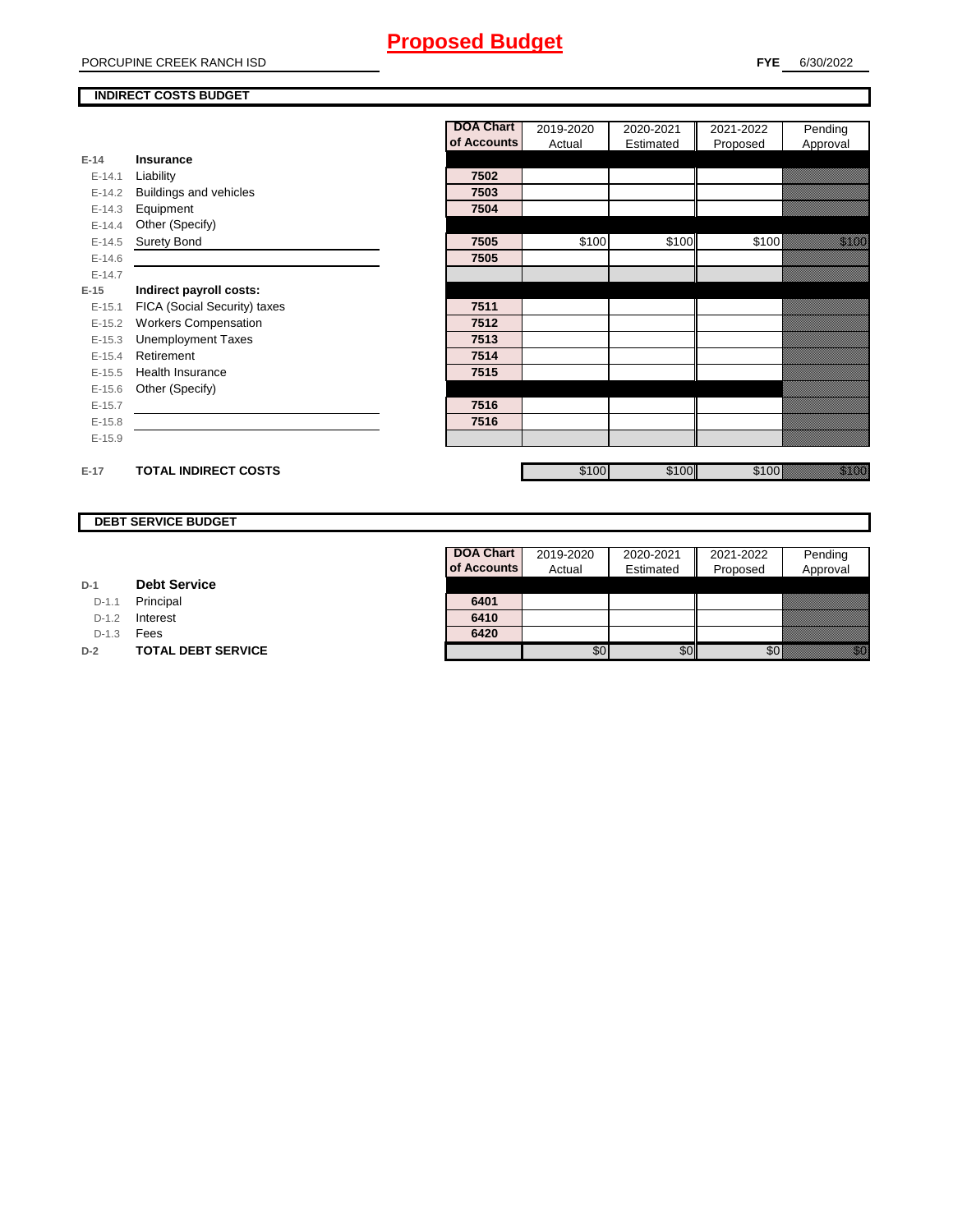#### PORCUPINE CREEK RANCH ISD

#### **INDIRECT COSTS BUDGET**

|          |                               | <b>DOA Chart</b> | 2019-2020 | 2020-2021 | 2021-2022 | Pending                                                                                                                                                                                                                         |
|----------|-------------------------------|------------------|-----------|-----------|-----------|---------------------------------------------------------------------------------------------------------------------------------------------------------------------------------------------------------------------------------|
|          |                               | of Accounts      | Actual    | Estimated | Proposed  | Approval                                                                                                                                                                                                                        |
| $E-14$   | Insurance                     |                  |           |           |           |                                                                                                                                                                                                                                 |
| $E-14.1$ | Liability                     | 7502             |           |           |           |                                                                                                                                                                                                                                 |
| $E-14.2$ | <b>Buildings and vehicles</b> | 7503             |           |           |           |                                                                                                                                                                                                                                 |
| $E-14.3$ | Equipment                     | 7504             |           |           |           |                                                                                                                                                                                                                                 |
| $E-14.4$ | Other (Specify)               |                  |           |           |           |                                                                                                                                                                                                                                 |
| $E-14.5$ | <b>Surety Bond</b>            | 7505             | \$100     | \$100     | \$100     | <u>ti ka</u>                                                                                                                                                                                                                    |
| $E-14.6$ |                               | 7505             |           |           |           |                                                                                                                                                                                                                                 |
| $E-14.7$ |                               |                  |           |           |           |                                                                                                                                                                                                                                 |
| $E-15$   | Indirect payroll costs:       |                  |           |           |           |                                                                                                                                                                                                                                 |
| $E-15.1$ | FICA (Social Security) taxes  | 7511             |           |           |           |                                                                                                                                                                                                                                 |
| $E-15.2$ | <b>Workers Compensation</b>   | 7512             |           |           |           |                                                                                                                                                                                                                                 |
| $E-15.3$ | <b>Unemployment Taxes</b>     | 7513             |           |           |           |                                                                                                                                                                                                                                 |
| $E-15.4$ | Retirement                    | 7514             |           |           |           |                                                                                                                                                                                                                                 |
| $E-15.5$ | Health Insurance              | 7515             |           |           |           |                                                                                                                                                                                                                                 |
| $E-15.6$ | Other (Specify)               |                  |           |           |           |                                                                                                                                                                                                                                 |
| $E-15.7$ |                               | 7516             |           |           |           |                                                                                                                                                                                                                                 |
| $E-15.8$ |                               | 7516             |           |           |           |                                                                                                                                                                                                                                 |
| $E-15.9$ |                               |                  |           |           |           |                                                                                                                                                                                                                                 |
| $E-17$   | <b>TOTAL INDIRECT COSTS</b>   |                  | \$100     | \$100     | \$100     | e santa de la concellação de la concellação de la concellação de la concellação de la concellação de la concel<br>Está concellação de la concellação de la concellação de la concellação de la concellação de la concellação de |

#### **DEBT SERVICE BUDGET**

| D-1 | <b>Debt Service</b> |  |
|-----|---------------------|--|
|     |                     |  |

D-1.1 **Principal** 

D-1.2 **Interest** 

D-1.3 **Fees** 

**D-2 TOTAL DEBT SERVICE** 

| DOA Chart   | 2019-2020 | 2020-2021 | 2021-2022 | Pending  |
|-------------|-----------|-----------|-----------|----------|
| of Accounts | Actual    | Estimated | Proposed  | Approval |
|             |           |           |           |          |
| 6401        |           |           |           |          |
| 6410        |           |           |           |          |
| 6420        |           |           |           |          |
|             |           |           |           |          |